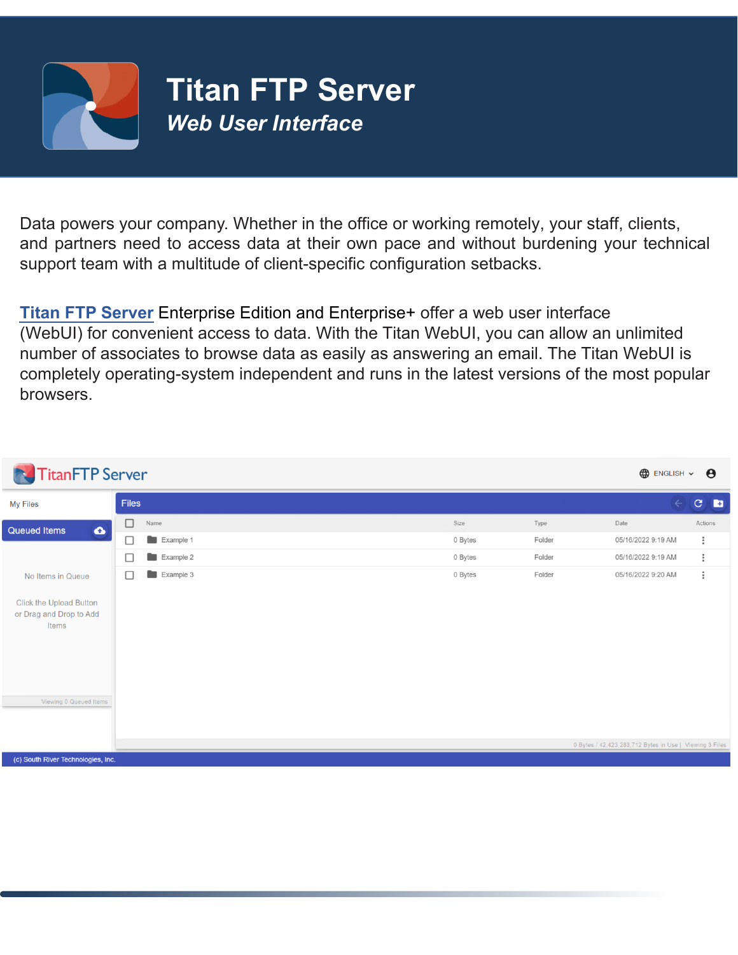

Data powers your company. Whether in the office or working remotely, your staff, clients, and partners need to access data at their own pace and without burdening your technical support team with a multitude of client-specific configuration setbacks.

**Titan FTP Server** Enterprise Edition and Enterprise+ offer a web user interface (WebUI) for convenient access to data. With the Titan WebUI, you can allow an unlimited number of associates to browse data as easily as answering an email. The Titan WebUI is completely operating-system independent and runs in the latest versions of the most popular browsers.

| <b>TitanFTP</b> Server<br>R                                 |                     |         |        | $\bigoplus$ ENGLISH $\sim$                              | $\boldsymbol{\Theta}$    |
|-------------------------------------------------------------|---------------------|---------|--------|---------------------------------------------------------|--------------------------|
| <b>My Files</b>                                             | Files               |         |        | $\leftarrow$                                            | $\mathbf{C}$<br><b>E</b> |
| $\bullet$<br><b>Queued Items</b>                            | $\Box$<br>Name      | Size    | Type   | Date                                                    | Actions                  |
|                                                             | $\Box$<br>Example 1 | 0 Bytes | Folder | 05/16/2022 9:19 AM                                      | $\vdots$                 |
|                                                             | $\Box$<br>Example 2 | 0 Bytes | Folder | 05/16/2022 9:19 AM                                      | $\vdots$                 |
| No Items in Queue                                           | Example 3<br>□      | 0 Bytes | Folder | 05/16/2022 9:20 AM                                      | $\ddot{\phantom{1}}$     |
| Click the Upload Button<br>or Drag and Drop to Add<br>Items |                     |         |        |                                                         |                          |
| Viewing 0 Queued Items                                      |                     |         |        | 0 Bytes / 42,423,283,712 Bytes in Use   Viewing 3 Files |                          |
| (c) South River Technologies, Inc.                          |                     |         |        |                                                         |                          |